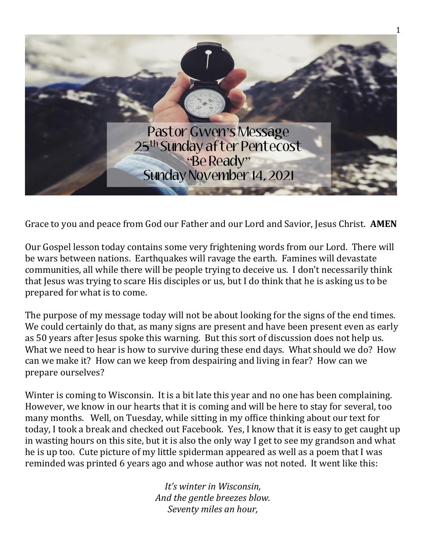

Grace to you and peace from God our Father and our Lord and Savior, Jesus Christ. **AMEN**

Our Gospel lesson today contains some very frightening words from our Lord. There will be wars between nations. Earthquakes will ravage the earth. Famines will devastate communities, all while there will be people trying to deceive us. I don't necessarily think that Jesus was trying to scare His disciples or us, but I do think that he is asking us to be prepared for what is to come.

The purpose of my message today will not be about looking for the signs of the end times. We could certainly do that, as many signs are present and have been present even as early as 50 years after Jesus spoke this warning. But this sort of discussion does not help us. What we need to hear is how to survive during these end days. What should we do? How can we make it? How can we keep from despairing and living in fear? How can we prepare ourselves?

Winter is coming to Wisconsin. It is a bit late this year and no one has been complaining. However, we know in our hearts that it is coming and will be here to stay for several, too many months. Well, on Tuesday, while sitting in my office thinking about our text for today, I took a break and checked out Facebook. Yes, I know that it is easy to get caught up in wasting hours on this site, but it is also the only way I get to see my grandson and what he is up too. Cute picture of my little spiderman appeared as well as a poem that I was reminded was printed 6 years ago and whose author was not noted. It went like this:

> *It's winter in Wisconsin, And the gentle breezes blow. Seventy miles an hour,*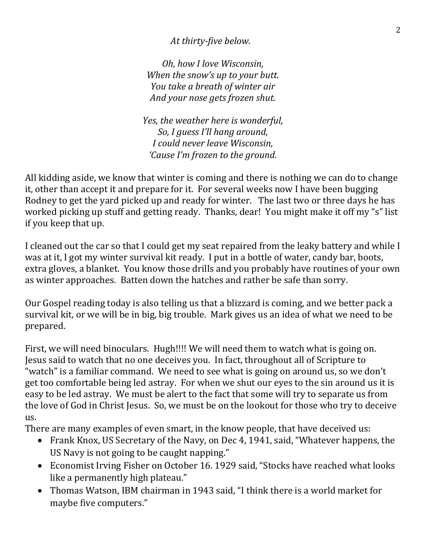*At thirty-five below.*

*Oh, how I love Wisconsin, When the snow's up to your butt. You take a breath of winter air And your nose gets frozen shut.*

*Yes, the weather here is wonderful, So, I guess I'll hang around, I could never leave Wisconsin, 'Cause I'm frozen to the ground.*

All kidding aside, we know that winter is coming and there is nothing we can do to change it, other than accept it and prepare for it. For several weeks now I have been bugging Rodney to get the yard picked up and ready for winter. The last two or three days he has worked picking up stuff and getting ready. Thanks, dear! You might make it off my "s" list if you keep that up.

I cleaned out the car so that I could get my seat repaired from the leaky battery and while I was at it, I got my winter survival kit ready. I put in a bottle of water, candy bar, boots, extra gloves, a blanket. You know those drills and you probably have routines of your own as winter approaches. Batten down the hatches and rather be safe than sorry.

Our Gospel reading today is also telling us that a blizzard is coming, and we better pack a survival kit, or we will be in big, big trouble. Mark gives us an idea of what we need to be prepared.

First, we will need binoculars. Hugh!!!! We will need them to watch what is going on. Jesus said to watch that no one deceives you. In fact, throughout all of Scripture to "watch" is a familiar command. We need to see what is going on around us, so we don't get too comfortable being led astray. For when we shut our eyes to the sin around us it is easy to be led astray. We must be alert to the fact that some will try to separate us from the love of God in Christ Jesus. So, we must be on the lookout for those who try to deceive us.

There are many examples of even smart, in the know people, that have deceived us:

- Frank Knox, US Secretary of the Navy, on Dec 4, 1941, said, "Whatever happens, the US Navy is not going to be caught napping."
- Economist Irving Fisher on October 16. 1929 said, "Stocks have reached what looks like a permanently high plateau."
- Thomas Watson, IBM chairman in 1943 said, "I think there is a world market for maybe five computers."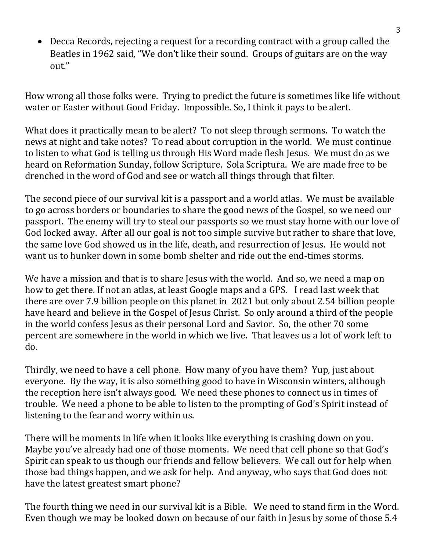• Decca Records, rejecting a request for a recording contract with a group called the Beatles in 1962 said, "We don't like their sound. Groups of guitars are on the way out."

How wrong all those folks were. Trying to predict the future is sometimes like life without water or Easter without Good Friday. Impossible. So, I think it pays to be alert.

What does it practically mean to be alert? To not sleep through sermons. To watch the news at night and take notes? To read about corruption in the world. We must continue to listen to what God is telling us through His Word made flesh Jesus. We must do as we heard on Reformation Sunday, follow Scripture. Sola Scriptura. We are made free to be drenched in the word of God and see or watch all things through that filter.

The second piece of our survival kit is a passport and a world atlas. We must be available to go across borders or boundaries to share the good news of the Gospel, so we need our passport. The enemy will try to steal our passports so we must stay home with our love of God locked away. After all our goal is not too simple survive but rather to share that love, the same love God showed us in the life, death, and resurrection of Jesus. He would not want us to hunker down in some bomb shelter and ride out the end-times storms.

We have a mission and that is to share Jesus with the world. And so, we need a map on how to get there. If not an atlas, at least Google maps and a GPS. I read last week that there are over 7.9 billion people on this planet in 2021 but only about 2.54 billion people have heard and believe in the Gospel of Jesus Christ. So only around a third of the people in the world confess Jesus as their personal Lord and Savior. So, the other 70 some percent are somewhere in the world in which we live. That leaves us a lot of work left to do.

Thirdly, we need to have a cell phone. How many of you have them? Yup, just about everyone. By the way, it is also something good to have in Wisconsin winters, although the reception here isn't always good. We need these phones to connect us in times of trouble. We need a phone to be able to listen to the prompting of God's Spirit instead of listening to the fear and worry within us.

There will be moments in life when it looks like everything is crashing down on you. Maybe you've already had one of those moments. We need that cell phone so that God's Spirit can speak to us though our friends and fellow believers. We call out for help when those bad things happen, and we ask for help. And anyway, who says that God does not have the latest greatest smart phone?

The fourth thing we need in our survival kit is a Bible. We need to stand firm in the Word. Even though we may be looked down on because of our faith in Jesus by some of those 5.4